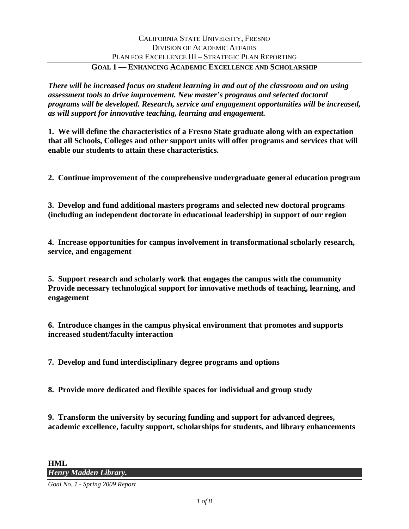*There will be increased focus on student learning in and out of the classroom and on using assessment tools to drive improvement. New master's programs and selected doctoral programs will be developed. Research, service and engagement opportunities will be increased, as will support for innovative teaching, learning and engagement.* 

**1. We will define the characteristics of a Fresno State graduate along with an expectation that all Schools, Colleges and other support units will offer programs and services that will enable our students to attain these characteristics.** 

**2. Continue improvement of the comprehensive undergraduate general education program** 

**3. Develop and fund additional masters programs and selected new doctoral programs (including an independent doctorate in educational leadership) in support of our region** 

**4. Increase opportunities for campus involvement in transformational scholarly research, service, and engagement** 

**5. Support research and scholarly work that engages the campus with the community Provide necessary technological support for innovative methods of teaching, learning, and engagement** 

**6. Introduce changes in the campus physical environment that promotes and supports increased student/faculty interaction** 

**7. Develop and fund interdisciplinary degree programs and options** 

**8. Provide more dedicated and flexible spaces for individual and group study** 

**9. Transform the university by securing funding and support for advanced degrees, academic excellence, faculty support, scholarships for students, and library enhancements** 

*Goal No. 1 - Spring 2009 Report*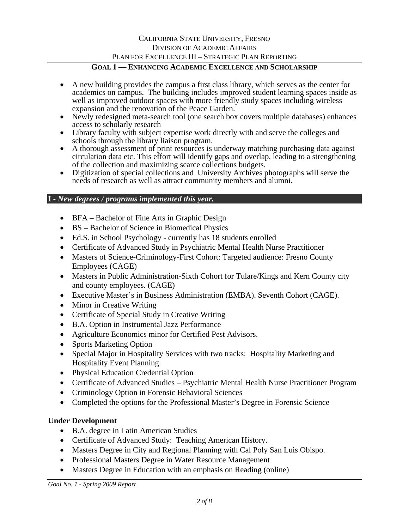# CALIFORNIA STATE UNIVERSITY, FRESNO DIVISION OF ACADEMIC AFFAIRS PLAN FOR EXCELLENCE III – STRATEGIC PLAN REPORTING

### **GOAL 1 — ENHANCING ACADEMIC EXCELLENCE AND SCHOLARSHIP**

- A new building provides the campus a first class library, which serves as the center for academics on campus. The building includes improved student learning spaces inside as well as improved outdoor spaces with more friendly study spaces including wireless expansion and the renovation of the Peace Garden.
- Newly redesigned meta-search tool (one search box covers multiple databases) enhances access to scholarly research
- Library faculty with subject expertise work directly with and serve the colleges and schools through the library liaison program.
- A thorough assessment of print resources is underway matching purchasing data against circulation data etc. This effort will identify gaps and overlap, leading to a strengthening of the collection and maximizing scarce collections budgets.
- Digitization of special collections and University Archives photographs will serve the needs of research as well as attract community members and alumni.

### **I** *- New degrees / programs implemented this year.*

- BFA Bachelor of Fine Arts in Graphic Design
- BS Bachelor of Science in Biomedical Physics
- Ed.S. in School Psychology currently has 18 students enrolled
- Certificate of Advanced Study in Psychiatric Mental Health Nurse Practitioner
- Masters of Science-Criminology-First Cohort: Targeted audience: Fresno County Employees (CAGE)
- Masters in Public Administration-Sixth Cohort for Tulare/Kings and Kern County city and county employees. (CAGE)
- Executive Master's in Business Administration (EMBA). Seventh Cohort (CAGE).
- Minor in Creative Writing
- Certificate of Special Study in Creative Writing
- B.A. Option in Instrumental Jazz Performance
- Agriculture Economics minor for Certified Pest Advisors.
- Sports Marketing Option
- Special Major in Hospitality Services with two tracks: Hospitality Marketing and Hospitality Event Planning
- Physical Education Credential Option
- Certificate of Advanced Studies Psychiatric Mental Health Nurse Practitioner Program
- Criminology Option in Forensic Behavioral Sciences
- Completed the options for the Professional Master's Degree in Forensic Science

### **Under Development**

- B.A. degree in Latin American Studies
- Certificate of Advanced Study: Teaching American History.
- Masters Degree in City and Regional Planning with Cal Poly San Luis Obispo.
- Professional Masters Degree in Water Resource Management
- Masters Degree in Education with an emphasis on Reading (online)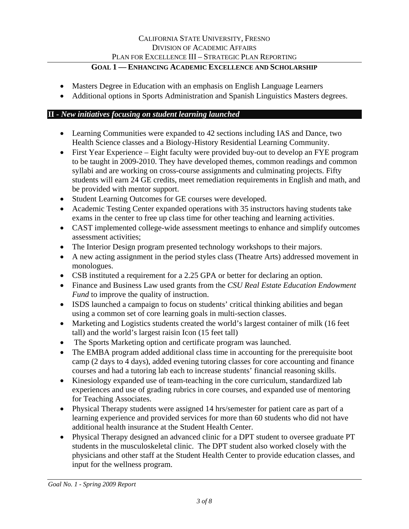- Masters Degree in Education with an emphasis on English Language Learners
- Additional options in Sports Administration and Spanish Linguistics Masters degrees.

## **II** *- New initiatives focusing on student learning launched*

- Learning Communities were expanded to 42 sections including IAS and Dance, two Health Science classes and a Biology-History Residential Learning Community.
- First Year Experience Eight faculty were provided buy-out to develop an FYE program to be taught in 2009-2010. They have developed themes, common readings and common syllabi and are working on cross-course assignments and culminating projects. Fifty students will earn 24 GE credits, meet remediation requirements in English and math, and be provided with mentor support.
- Student Learning Outcomes for GE courses were developed.
- Academic Testing Center expanded operations with 35 instructors having students take exams in the center to free up class time for other teaching and learning activities.
- CAST implemented college-wide assessment meetings to enhance and simplify outcomes assessment activities;
- The Interior Design program presented technology workshops to their majors.
- A new acting assignment in the period styles class (Theatre Arts) addressed movement in monologues.
- CSB instituted a requirement for a 2.25 GPA or better for declaring an option.
- Finance and Business Law used grants from the *CSU Real Estate Education Endowment Fund* to improve the quality of instruction.
- ISDS launched a campaign to focus on students' critical thinking abilities and began using a common set of core learning goals in multi-section classes.
- Marketing and Logistics students created the world's largest container of milk (16 feet tall) and the world's largest raisin Icon (15 feet tall)
- The Sports Marketing option and certificate program was launched.
- The EMBA program added additional class time in accounting for the prerequisite boot camp (2 days to 4 days), added evening tutoring classes for core accounting and finance courses and had a tutoring lab each to increase students' financial reasoning skills.
- Kinesiology expanded use of team-teaching in the core curriculum, standardized lab experiences and use of grading rubrics in core courses, and expanded use of mentoring for Teaching Associates.
- Physical Therapy students were assigned 14 hrs/semester for patient care as part of a learning experience and provided services for more than 60 students who did not have additional health insurance at the Student Health Center.
- Physical Therapy designed an advanced clinic for a DPT student to oversee graduate PT students in the musculoskeletal clinic. The DPT student also worked closely with the physicians and other staff at the Student Health Center to provide education classes, and input for the wellness program.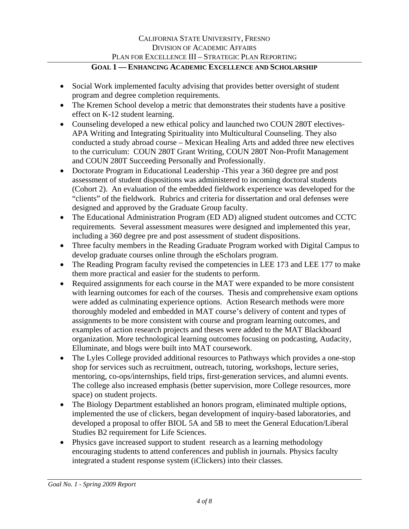- Social Work implemented faculty advising that provides better oversight of student program and degree completion requirements.
- The Kremen School develop a metric that demonstrates their students have a positive effect on K-12 student learning.
- Counseling developed a new ethical policy and launched two COUN 280T electives-APA Writing and Integrating Spirituality into Multicultural Counseling. They also conducted a study abroad course – Mexican Healing Arts and added three new electives to the curriculum: COUN 280T Grant Writing, COUN 280T Non-Profit Management and COUN 280T Succeeding Personally and Professionally.
- Doctorate Program in Educational Leadership -This year a 360 degree pre and post assessment of student dispositions was administered to incoming doctoral students (Cohort 2). An evaluation of the embedded fieldwork experience was developed for the "clients" of the fieldwork. Rubrics and criteria for dissertation and oral defenses were designed and approved by the Graduate Group faculty.
- The Educational Administration Program (ED AD) aligned student outcomes and CCTC requirements. Several assessment measures were designed and implemented this year, including a 360 degree pre and post assessment of student dispositions.
- Three faculty members in the Reading Graduate Program worked with Digital Campus to develop graduate courses online through the eScholars program.
- The Reading Program faculty revised the competencies in LEE 173 and LEE 177 to make them more practical and easier for the students to perform.
- Required assignments for each course in the MAT were expanded to be more consistent with learning outcomes for each of the courses. Thesis and comprehensive exam options were added as culminating experience options. Action Research methods were more thoroughly modeled and embedded in MAT course's delivery of content and types of assignments to be more consistent with course and program learning outcomes, and examples of action research projects and theses were added to the MAT Blackboard organization. More technological learning outcomes focusing on podcasting, Audacity, Elluminate, and blogs were built into MAT coursework.
- The Lyles College provided additional resources to Pathways which provides a one-stop shop for services such as recruitment, outreach, tutoring, workshops, lecture series, mentoring, co-ops/internships, field trips, first-generation services, and alumni events. The college also increased emphasis (better supervision, more College resources, more space) on student projects.
- The Biology Department established an honors program, eliminated multiple options, implemented the use of clickers, began development of inquiry-based laboratories, and developed a proposal to offer BIOL 5A and 5B to meet the General Education/Liberal Studies B2 requirement for Life Sciences.
- Physics gave increased support to student research as a learning methodology encouraging students to attend conferences and publish in journals. Physics faculty integrated a student response system (iClickers) into their classes.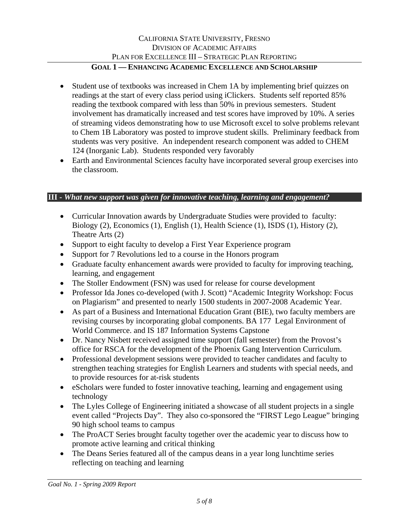- Student use of textbooks was increased in Chem 1A by implementing brief quizzes on readings at the start of every class period using iClickers. Students self reported 85% reading the textbook compared with less than 50% in previous semesters. Student involvement has dramatically increased and test scores have improved by 10%. A series of streaming videos demonstrating how to use Microsoft excel to solve problems relevant to Chem 1B Laboratory was posted to improve student skills. Preliminary feedback from students was very positive. An independent research component was added to CHEM 124 (Inorganic Lab). Students responded very favorably
- Earth and Environmental Sciences faculty have incorporated several group exercises into the classroom.

### **III -** *What new support was given for innovative teaching, learning and engagement?*

- Curricular Innovation awards by Undergraduate Studies were provided to faculty: Biology (2), Economics (1), English (1), Health Science (1), ISDS (1), History (2), Theatre Arts (2)
- Support to eight faculty to develop a First Year Experience program
- Support for 7 Revolutions led to a course in the Honors program
- Graduate faculty enhancement awards were provided to faculty for improving teaching, learning, and engagement
- The Stoller Endowment (FSN) was used for release for course development
- Professor Ida Jones co-developed (with J. Scott) "Academic Integrity Workshop: Focus on Plagiarism" and presented to nearly 1500 students in 2007-2008 Academic Year.
- As part of a Business and International Education Grant (BIE), two faculty members are revising courses by incorporating global components. BA 177 Legal Environment of World Commerce. and IS 187 Information Systems Capstone
- Dr. Nancy Nisbett received assigned time support (fall semester) from the Provost's office for RSCA for the development of the Phoenix Gang Intervention Curriculum.
- Professional development sessions were provided to teacher candidates and faculty to strengthen teaching strategies for English Learners and students with special needs, and to provide resources for at-risk students
- eScholars were funded to foster innovative teaching, learning and engagement using technology
- The Lyles College of Engineering initiated a showcase of all student projects in a single event called "Projects Day". They also co-sponsored the "FIRST Lego League" bringing 90 high school teams to campus
- The ProACT Series brought faculty together over the academic year to discuss how to promote active learning and critical thinking
- The Deans Series featured all of the campus deans in a year long lunchtime series reflecting on teaching and learning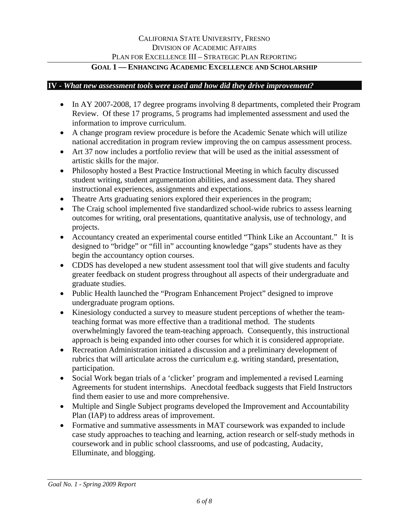### **IV -** *What new assessment tools were used and how did they drive improvement?*

- In AY 2007-2008, 17 degree programs involving 8 departments, completed their Program Review. Of these 17 programs, 5 programs had implemented assessment and used the information to improve curriculum.
- A change program review procedure is before the Academic Senate which will utilize national accreditation in program review improving the on campus assessment process.
- Art 37 now includes a portfolio review that will be used as the initial assessment of artistic skills for the major.
- Philosophy hosted a Best Practice Instructional Meeting in which faculty discussed student writing, student argumentation abilities, and assessment data. They shared instructional experiences, assignments and expectations.
- Theatre Arts graduating seniors explored their experiences in the program;
- The Craig school implemented five standardized school-wide rubrics to assess learning outcomes for writing, oral presentations, quantitative analysis, use of technology, and projects.
- Accountancy created an experimental course entitled "Think Like an Accountant." It is designed to "bridge" or "fill in" accounting knowledge "gaps" students have as they begin the accountancy option courses.
- CDDS has developed a new student assessment tool that will give students and faculty greater feedback on student progress throughout all aspects of their undergraduate and graduate studies.
- Public Health launched the "Program Enhancement Project" designed to improve undergraduate program options.
- Kinesiology conducted a survey to measure student perceptions of whether the teamteaching format was more effective than a traditional method. The students overwhelmingly favored the team-teaching approach. Consequently, this instructional approach is being expanded into other courses for which it is considered appropriate.
- Recreation Administration initiated a discussion and a preliminary development of rubrics that will articulate across the curriculum e.g. writing standard, presentation, participation.
- Social Work began trials of a 'clicker' program and implemented a revised Learning Agreements for student internships. Anecdotal feedback suggests that Field Instructors find them easier to use and more comprehensive.
- Multiple and Single Subject programs developed the Improvement and Accountability Plan (IAP) to address areas of improvement.
- Formative and summative assessments in MAT coursework was expanded to include case study approaches to teaching and learning, action research or self-study methods in coursework and in public school classrooms, and use of podcasting, Audacity, Elluminate, and blogging.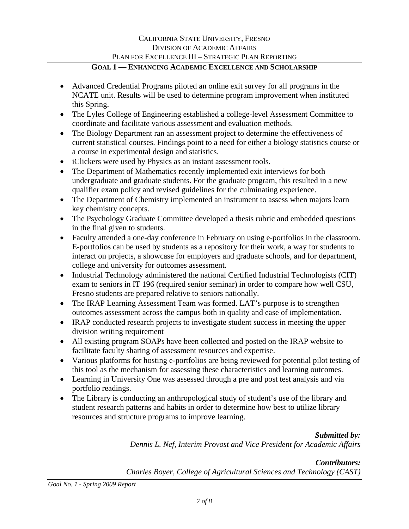# CALIFORNIA STATE UNIVERSITY, FRESNO DIVISION OF ACADEMIC AFFAIRS PLAN FOR EXCELLENCE III – STRATEGIC PLAN REPORTING

## **GOAL 1 — ENHANCING ACADEMIC EXCELLENCE AND SCHOLARSHIP**

- Advanced Credential Programs piloted an online exit survey for all programs in the NCATE unit. Results will be used to determine program improvement when instituted this Spring.
- The Lyles College of Engineering established a college-level Assessment Committee to coordinate and facilitate various assessment and evaluation methods.
- The Biology Department ran an assessment project to determine the effectiveness of current statistical courses. Findings point to a need for either a biology statistics course or a course in experimental design and statistics.
- iClickers were used by Physics as an instant assessment tools.
- The Department of Mathematics recently implemented exit interviews for both undergraduate and graduate students. For the graduate program, this resulted in a new qualifier exam policy and revised guidelines for the culminating experience.
- The Department of Chemistry implemented an instrument to assess when majors learn key chemistry concepts.
- The Psychology Graduate Committee developed a thesis rubric and embedded questions in the final given to students.
- Faculty attended a one-day conference in February on using e-portfolios in the classroom. E-portfolios can be used by students as a repository for their work, a way for students to interact on projects, a showcase for employers and graduate schools, and for department, college and university for outcomes assessment.
- Industrial Technology administered the national Certified Industrial Technologists (CIT) exam to seniors in IT 196 (required senior seminar) in order to compare how well CSU, Fresno students are prepared relative to seniors nationally.
- The IRAP Learning Assessment Team was formed. LAT's purpose is to strengthen outcomes assessment across the campus both in quality and ease of implementation.
- IRAP conducted research projects to investigate student success in meeting the upper division writing requirement
- All existing program SOAPs have been collected and posted on the IRAP website to facilitate faculty sharing of assessment resources and expertise.
- Various platforms for hosting e-portfolios are being reviewed for potential pilot testing of this tool as the mechanism for assessing these characteristics and learning outcomes.
- Learning in University One was assessed through a pre and post test analysis and via portfolio readings.
- The Library is conducting an anthropological study of student's use of the library and student research patterns and habits in order to determine how best to utilize library resources and structure programs to improve learning.

*Submitted by:* 

*Dennis L. Nef, Interim Provost and Vice President for Academic Affairs* 

*Contributors: Charles Boyer, College of Agricultural Sciences and Technology (CAST)* 

*Goal No. 1 - Spring 2009 Report*